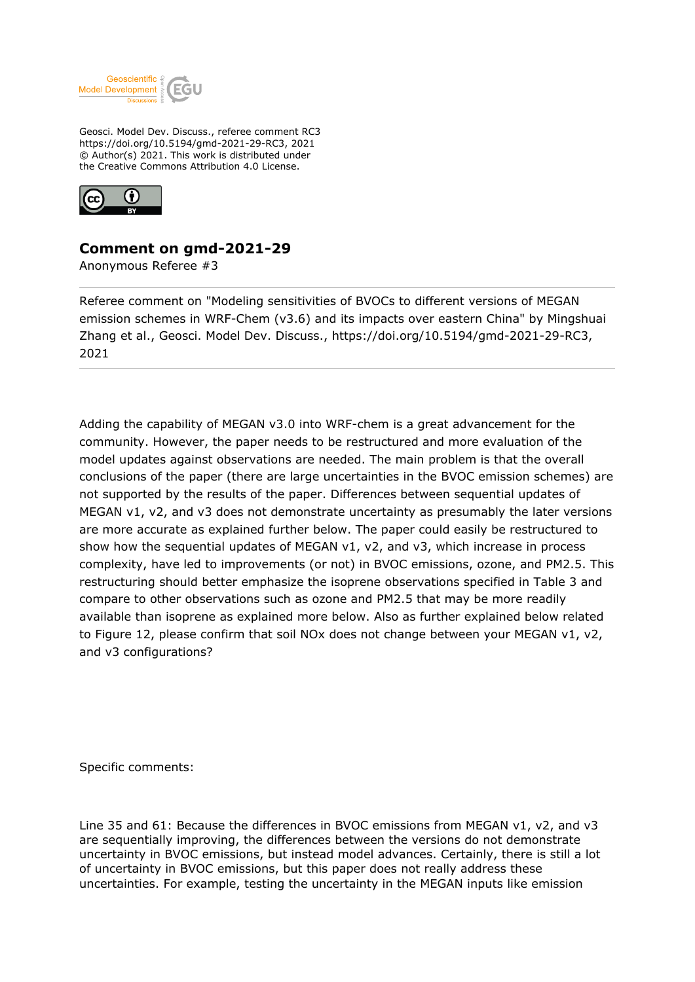

Geosci. Model Dev. Discuss., referee comment RC3 https://doi.org/10.5194/gmd-2021-29-RC3, 2021 © Author(s) 2021. This work is distributed under the Creative Commons Attribution 4.0 License.



## **Comment on gmd-2021-29**

Anonymous Referee #3

Referee comment on "Modeling sensitivities of BVOCs to different versions of MEGAN emission schemes in WRF-Chem (v3.6) and its impacts over eastern China" by Mingshuai Zhang et al., Geosci. Model Dev. Discuss., https://doi.org/10.5194/gmd-2021-29-RC3, 2021

Adding the capability of MEGAN v3.0 into WRF-chem is a great advancement for the community. However, the paper needs to be restructured and more evaluation of the model updates against observations are needed. The main problem is that the overall conclusions of the paper (there are large uncertainties in the BVOC emission schemes) are not supported by the results of the paper. Differences between sequential updates of MEGAN v1, v2, and v3 does not demonstrate uncertainty as presumably the later versions are more accurate as explained further below. The paper could easily be restructured to show how the sequential updates of MEGAN v1, v2, and v3, which increase in process complexity, have led to improvements (or not) in BVOC emissions, ozone, and PM2.5. This restructuring should better emphasize the isoprene observations specified in Table 3 and compare to other observations such as ozone and PM2.5 that may be more readily available than isoprene as explained more below. Also as further explained below related to Figure 12, please confirm that soil NO<sub>x</sub> does not change between your MEGAN v1, v2, and v3 configurations?

Specific comments:

Line 35 and 61: Because the differences in BVOC emissions from MEGAN v1, v2, and v3 are sequentially improving, the differences between the versions do not demonstrate uncertainty in BVOC emissions, but instead model advances. Certainly, there is still a lot of uncertainty in BVOC emissions, but this paper does not really address these uncertainties. For example, testing the uncertainty in the MEGAN inputs like emission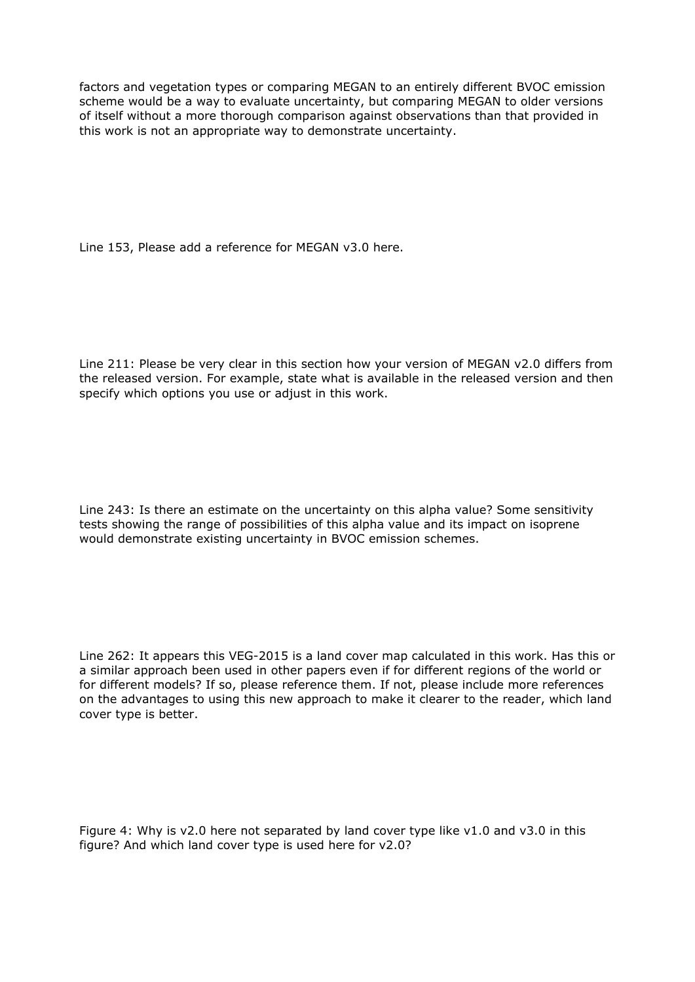factors and vegetation types or comparing MEGAN to an entirely different BVOC emission scheme would be a way to evaluate uncertainty, but comparing MEGAN to older versions of itself without a more thorough comparison against observations than that provided in this work is not an appropriate way to demonstrate uncertainty.

Line 153, Please add a reference for MEGAN v3.0 here.

Line 211: Please be very clear in this section how your version of MEGAN v2.0 differs from the released version. For example, state what is available in the released version and then specify which options you use or adjust in this work.

Line 243: Is there an estimate on the uncertainty on this alpha value? Some sensitivity tests showing the range of possibilities of this alpha value and its impact on isoprene would demonstrate existing uncertainty in BVOC emission schemes.

Line 262: It appears this VEG-2015 is a land cover map calculated in this work. Has this or a similar approach been used in other papers even if for different regions of the world or for different models? If so, please reference them. If not, please include more references on the advantages to using this new approach to make it clearer to the reader, which land cover type is better.

Figure 4: Why is v2.0 here not separated by land cover type like v1.0 and v3.0 in this figure? And which land cover type is used here for v2.0?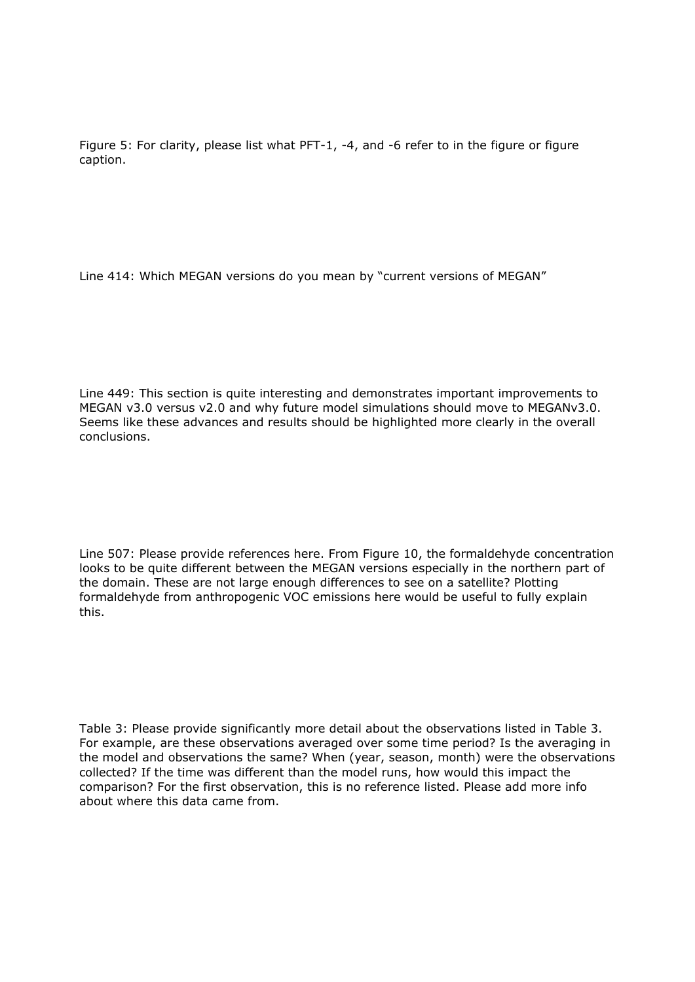Figure 5: For clarity, please list what PFT-1, -4, and -6 refer to in the figure or figure caption.

Line 414: Which MEGAN versions do you mean by "current versions of MEGAN"

Line 449: This section is quite interesting and demonstrates important improvements to MEGAN v3.0 versus v2.0 and why future model simulations should move to MEGANv3.0. Seems like these advances and results should be highlighted more clearly in the overall conclusions.

Line 507: Please provide references here. From Figure 10, the formaldehyde concentration looks to be quite different between the MEGAN versions especially in the northern part of the domain. These are not large enough differences to see on a satellite? Plotting formaldehyde from anthropogenic VOC emissions here would be useful to fully explain this.

Table 3: Please provide significantly more detail about the observations listed in Table 3. For example, are these observations averaged over some time period? Is the averaging in the model and observations the same? When (year, season, month) were the observations collected? If the time was different than the model runs, how would this impact the comparison? For the first observation, this is no reference listed. Please add more info about where this data came from.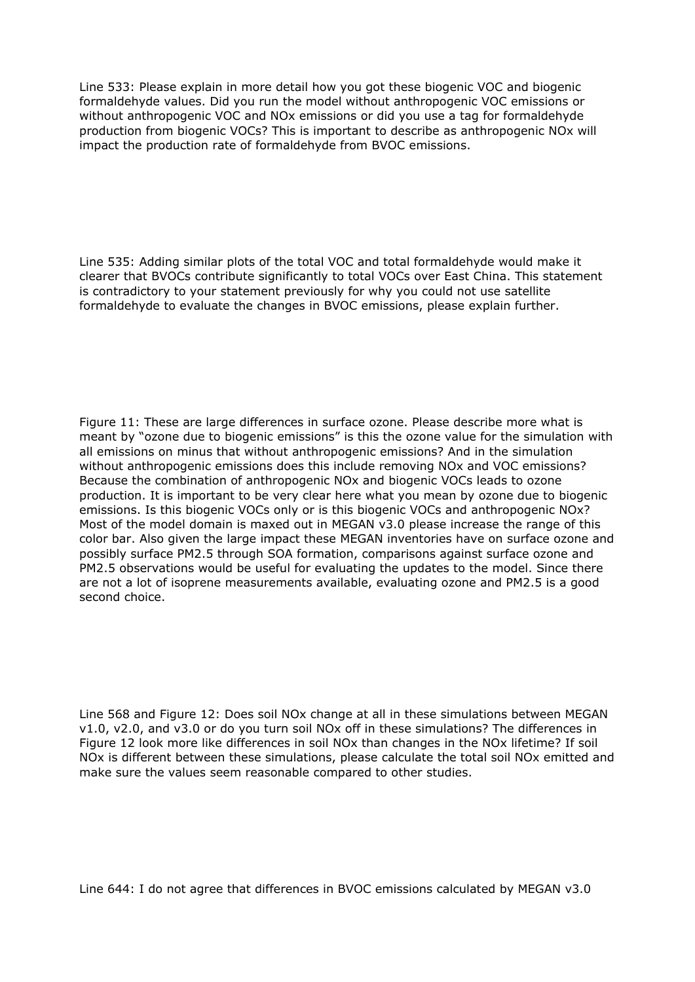Line 533: Please explain in more detail how you got these biogenic VOC and biogenic formaldehyde values. Did you run the model without anthropogenic VOC emissions or without anthropogenic VOC and NOx emissions or did you use a tag for formaldehyde production from biogenic VOCs? This is important to describe as anthropogenic NOx will impact the production rate of formaldehyde from BVOC emissions.

Line 535: Adding similar plots of the total VOC and total formaldehyde would make it clearer that BVOCs contribute significantly to total VOCs over East China. This statement is contradictory to your statement previously for why you could not use satellite formaldehyde to evaluate the changes in BVOC emissions, please explain further.

Figure 11: These are large differences in surface ozone. Please describe more what is meant by "ozone due to biogenic emissions" is this the ozone value for the simulation with all emissions on minus that without anthropogenic emissions? And in the simulation without anthropogenic emissions does this include removing NOx and VOC emissions? Because the combination of anthropogenic NOx and biogenic VOCs leads to ozone production. It is important to be very clear here what you mean by ozone due to biogenic emissions. Is this biogenic VOCs only or is this biogenic VOCs and anthropogenic NOx? Most of the model domain is maxed out in MEGAN v3.0 please increase the range of this color bar. Also given the large impact these MEGAN inventories have on surface ozone and possibly surface PM2.5 through SOA formation, comparisons against surface ozone and PM2.5 observations would be useful for evaluating the updates to the model. Since there are not a lot of isoprene measurements available, evaluating ozone and PM2.5 is a good second choice.

Line 568 and Figure 12: Does soil NOx change at all in these simulations between MEGAN v1.0, v2.0, and v3.0 or do you turn soil NOx off in these simulations? The differences in Figure 12 look more like differences in soil NOx than changes in the NOx lifetime? If soil NOx is different between these simulations, please calculate the total soil NOx emitted and make sure the values seem reasonable compared to other studies.

Line 644: I do not agree that differences in BVOC emissions calculated by MEGAN v3.0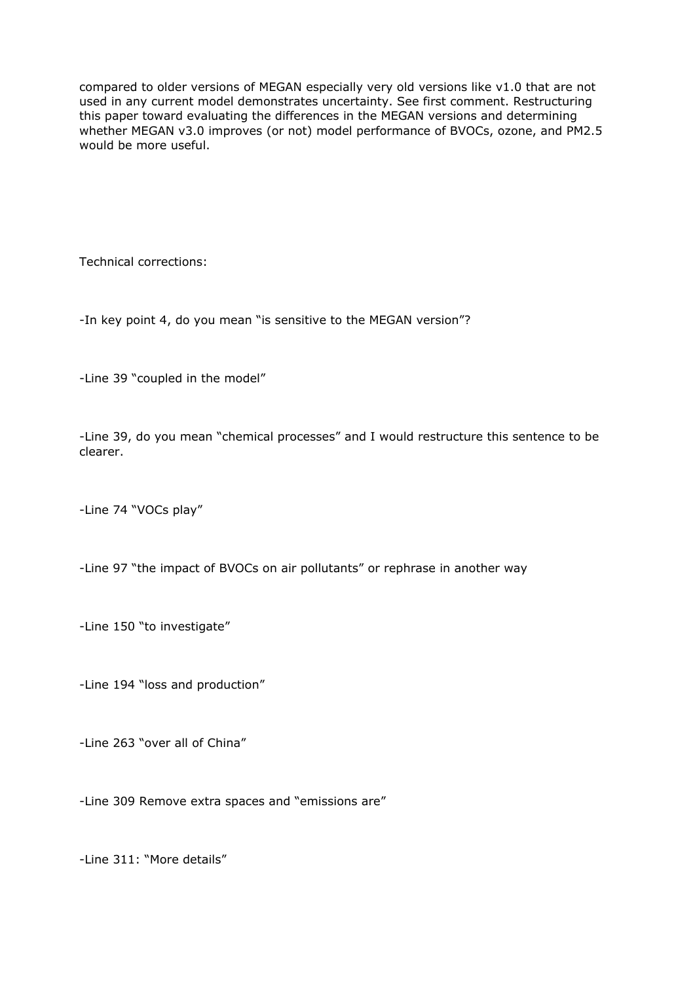compared to older versions of MEGAN especially very old versions like v1.0 that are not used in any current model demonstrates uncertainty. See first comment. Restructuring this paper toward evaluating the differences in the MEGAN versions and determining whether MEGAN v3.0 improves (or not) model performance of BVOCs, ozone, and PM2.5 would be more useful.

Technical corrections:

-In key point 4, do you mean "is sensitive to the MEGAN version"?

-Line 39 "coupled in the model"

-Line 39, do you mean "chemical processes" and I would restructure this sentence to be clearer.

-Line 74 "VOCs play"

-Line 97 "the impact of BVOCs on air pollutants" or rephrase in another way

-Line 150 "to investigate"

-Line 194 "loss and production"

-Line 263 "over all of China"

-Line 309 Remove extra spaces and "emissions are"

-Line 311: "More details"